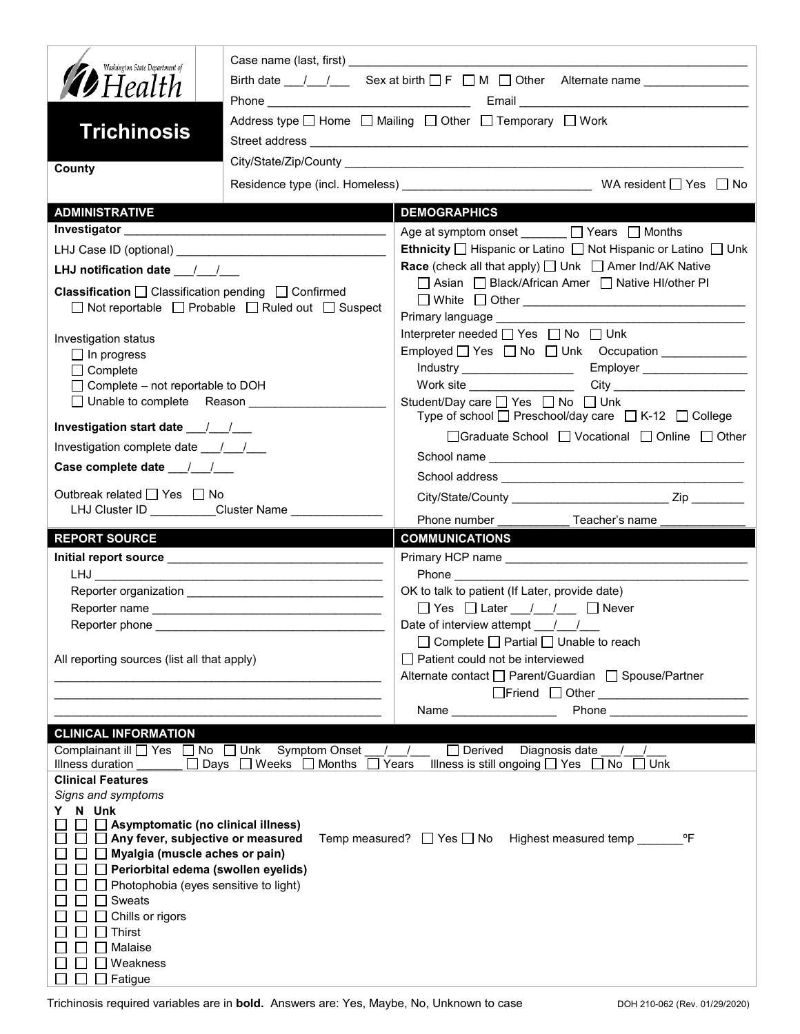| Washington State Department of                                                 |                                                                       | Birth date $1 \quad 1$ Sex at birth $\Box$ F $\Box$ M $\Box$ Other Alternate name |
|--------------------------------------------------------------------------------|-----------------------------------------------------------------------|-----------------------------------------------------------------------------------|
| <b>D</b> Health                                                                |                                                                       |                                                                                   |
|                                                                                |                                                                       | Address type   Home   Mailing   Other   Temporary   Work                          |
| <b>Trichinosis</b>                                                             |                                                                       |                                                                                   |
|                                                                                |                                                                       |                                                                                   |
| County                                                                         |                                                                       |                                                                                   |
|                                                                                |                                                                       |                                                                                   |
| <b>ADMINISTRATIVE</b>                                                          |                                                                       | <b>DEMOGRAPHICS</b>                                                               |
|                                                                                |                                                                       | Age at symptom onset ______ □ Years □ Months                                      |
|                                                                                |                                                                       | Ethnicity □ Hispanic or Latino □ Not Hispanic or Latino □ Unk                     |
|                                                                                |                                                                       | <b>Race</b> (check all that apply) $\Box$ Unk $\Box$ Amer Ind/AK Native           |
| <b>Classification</b> $\Box$ Classification pending $\Box$ Confirmed           |                                                                       | □ Asian □ Black/African Amer □ Native HI/other PI                                 |
|                                                                                | $\Box$ Not reportable $\Box$ Probable $\Box$ Ruled out $\Box$ Suspect |                                                                                   |
|                                                                                |                                                                       |                                                                                   |
| Investigation status                                                           |                                                                       | Interpreter needed $\Box$ Yes $\Box$ No $\Box$ Unk                                |
| $\Box$ In progress                                                             |                                                                       | Employed   Yes   No   Unk Occupation ____________                                 |
| $\Box$ Complete<br>$\Box$ Complete – not reportable to DOH                     |                                                                       |                                                                                   |
| □ Unable to complete Reason __________                                         |                                                                       | Student/Day care <u>S</u> Yes <b>Solution</b> No Student/Day care S               |
|                                                                                |                                                                       | Type of school $\Box$ Preschool/day care $\Box$ K-12 $\Box$ College               |
|                                                                                |                                                                       | □ Graduate School □ Vocational □ Online □ Other                                   |
| Investigation complete date ___/___/___                                        |                                                                       |                                                                                   |
| Case complete date __/_/__/                                                    |                                                                       |                                                                                   |
| Outbreak related □ Yes □ No                                                    |                                                                       |                                                                                   |
|                                                                                | LHJ Cluster ID _________Cluster Name ___________                      |                                                                                   |
|                                                                                |                                                                       |                                                                                   |
|                                                                                |                                                                       | Phone number ____________ Teacher's name ______                                   |
| <b>REPORT SOURCE</b>                                                           |                                                                       | <b>COMMUNICATIONS</b>                                                             |
|                                                                                |                                                                       | <b>Phone Contract Phone</b>                                                       |
|                                                                                |                                                                       | OK to talk to patient (If Later, provide date)                                    |
|                                                                                |                                                                       | $\Box$ Yes $\Box$ Later $\frac{1}{\Box}$ $\Box$ Never                             |
| Reporter phone                                                                 |                                                                       | Date of interview attempt / /                                                     |
|                                                                                |                                                                       | $\Box$ Complete $\Box$ Partial $\Box$ Unable to reach                             |
| All reporting sources (list all that apply)                                    |                                                                       | □ Patient could not be interviewed                                                |
|                                                                                |                                                                       | Alternate contact<br>□ Parent/Guardian<br>□ Spouse/Partner                        |
|                                                                                |                                                                       | □Friend □ Other <u>______________________</u>                                     |
|                                                                                |                                                                       | Name <b>Name</b>                                                                  |
| <b>CLINICAL INFORMATION</b>                                                    |                                                                       |                                                                                   |
| Complainant ill □ Yes □ No □ Unk                                               | Symptom Onset                                                         | $\Box$ Derived<br>Diagnosis date                                                  |
| Illness duration<br><b>Clinical Features</b>                                   | □ Days □ Weeks □ Months                                               | Illness is still ongoing $\Box$ Yes $\Box$ No<br>Years<br>$\Box$ Unk              |
| Signs and symptoms                                                             |                                                                       |                                                                                   |
| N Unk<br>Y.                                                                    |                                                                       |                                                                                   |
| $\Box$ Asymptomatic (no clinical illness)<br>Any fever, subjective or measured |                                                                       | °F<br>Temp measured? $\Box$ Yes $\Box$ No<br>Highest measured temp                |
| Myalgia (muscle aches or pain)                                                 |                                                                       |                                                                                   |
|                                                                                | Periorbital edema (swollen eyelids)                                   |                                                                                   |
|                                                                                | Photophobia (eyes sensitive to light)                                 |                                                                                   |
| Sweats                                                                         |                                                                       |                                                                                   |
| Chills or rigors<br>Thirst                                                     |                                                                       |                                                                                   |
| Malaise                                                                        |                                                                       |                                                                                   |
| Weakness<br>Fatigue                                                            |                                                                       |                                                                                   |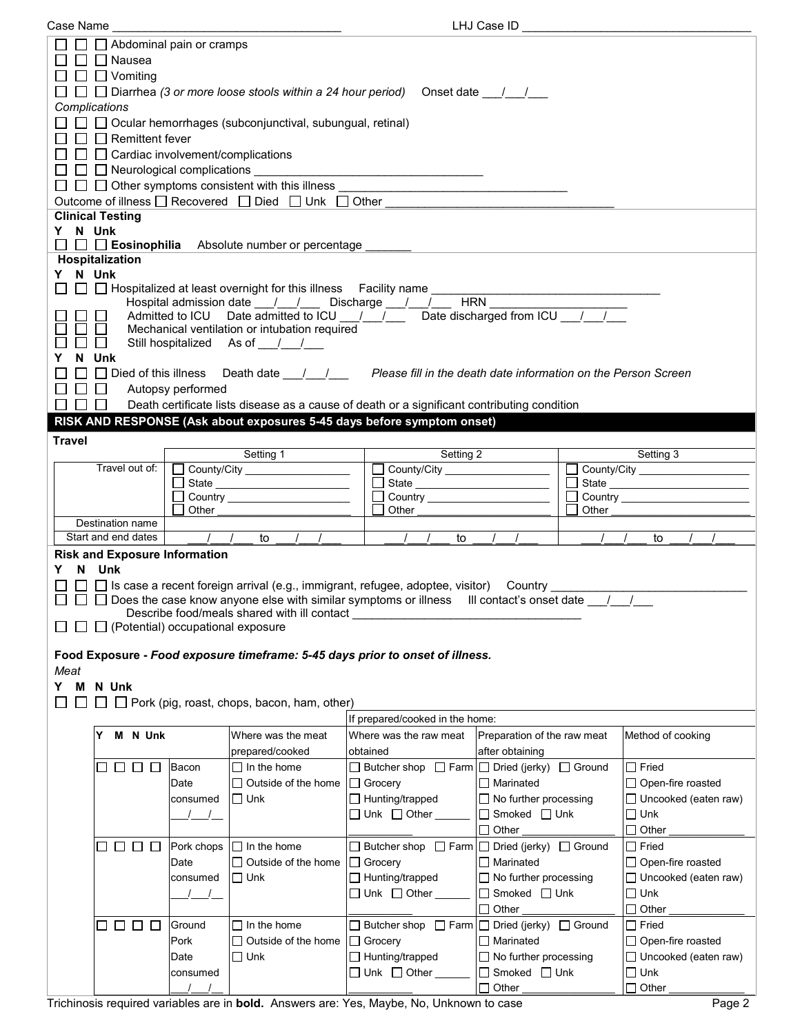| Case Name                                                                                  |                                  |                                                    |                                                                                                                   | LHJ Case ID                              |       |                                      |
|--------------------------------------------------------------------------------------------|----------------------------------|----------------------------------------------------|-------------------------------------------------------------------------------------------------------------------|------------------------------------------|-------|--------------------------------------|
| $\Box$ $\Box$ Abdominal pain or cramps                                                     |                                  |                                                    |                                                                                                                   |                                          |       |                                      |
| $\Box$ Nausea                                                                              |                                  |                                                    |                                                                                                                   |                                          |       |                                      |
| $\Box$ $\Box$ Vomiting                                                                     |                                  |                                                    |                                                                                                                   |                                          |       |                                      |
|                                                                                            |                                  |                                                    |                                                                                                                   |                                          |       |                                      |
|                                                                                            |                                  |                                                    | □ □ Diarrhea (3 or more loose stools within a 24 hour period) Onset date ________                                 |                                          |       |                                      |
| Complications                                                                              |                                  |                                                    |                                                                                                                   |                                          |       |                                      |
| $\Box$ $\Box$ Ocular hemorrhages (subconjunctival, subungual, retinal)                     |                                  |                                                    |                                                                                                                   |                                          |       |                                      |
| $\Box$ Remittent fever                                                                     |                                  |                                                    |                                                                                                                   |                                          |       |                                      |
| $\Box$ $\Box$ Cardiac involvement/complications                                            |                                  |                                                    |                                                                                                                   |                                          |       |                                      |
| $\Box$ Neurological complications $\Box$                                                   |                                  |                                                    |                                                                                                                   |                                          |       |                                      |
| $\Box$ $\Box$ Other symptoms consistent with this illness                                  |                                  |                                                    |                                                                                                                   |                                          |       |                                      |
| Outcome of illness □ Recovered □ Died □ Unk □ Other                                        |                                  |                                                    |                                                                                                                   |                                          |       |                                      |
| <b>Clinical Testing</b>                                                                    |                                  |                                                    |                                                                                                                   |                                          |       |                                      |
| Y N Unk                                                                                    |                                  |                                                    |                                                                                                                   |                                          |       |                                      |
| $\Box$ $\Box$ <b>Eosinophilia</b> Absolute number or percentage                            |                                  |                                                    |                                                                                                                   |                                          |       |                                      |
| Hospitalization                                                                            |                                  |                                                    |                                                                                                                   |                                          |       |                                      |
| Y N Unk                                                                                    |                                  |                                                    |                                                                                                                   |                                          |       |                                      |
| $\Box~\Box~\Box$ Hospitalized at least overnight for this illness   Facility name ________ |                                  |                                                    |                                                                                                                   |                                          |       |                                      |
|                                                                                            |                                  |                                                    | Hospital admission date __/ __/ __ Discharge __/ __/ __ HRN _                                                     |                                          |       |                                      |
|                                                                                            |                                  |                                                    | Admitted to ICU Date admitted to ICU $\sqrt{ }$ Date discharged from ICU $\sqrt{ }$                               |                                          |       |                                      |
|                                                                                            |                                  | Mechanical ventilation or intubation required      |                                                                                                                   |                                          |       |                                      |
| $\mathsf{L}$                                                                               | Still hospitalized As of 1.1.    |                                                    |                                                                                                                   |                                          |       |                                      |
| N Unk<br>Y                                                                                 |                                  |                                                    |                                                                                                                   |                                          |       |                                      |
|                                                                                            |                                  |                                                    | □ Died of this illness Death date ________________ Please fill in the death date information on the Person Screen |                                          |       |                                      |
| $\Box$<br>Autopsy performed                                                                |                                  |                                                    |                                                                                                                   |                                          |       |                                      |
|                                                                                            |                                  |                                                    |                                                                                                                   |                                          |       |                                      |
|                                                                                            |                                  |                                                    | Death certificate lists disease as a cause of death or a significant contributing condition                       |                                          |       |                                      |
| RISK AND RESPONSE (Ask about exposures 5-45 days before symptom onset)                     |                                  |                                                    |                                                                                                                   |                                          |       |                                      |
| <b>Travel</b>                                                                              |                                  |                                                    |                                                                                                                   |                                          |       |                                      |
|                                                                                            | Setting 1                        |                                                    |                                                                                                                   | Setting 2                                |       | Setting 3                            |
| Travel out of:                                                                             |                                  | County/City                                        | County/City _____________________                                                                                 |                                          |       | County/City                          |
|                                                                                            |                                  |                                                    |                                                                                                                   |                                          |       | □ State <u>_____________________</u> |
|                                                                                            |                                  |                                                    |                                                                                                                   |                                          |       |                                      |
|                                                                                            |                                  |                                                    |                                                                                                                   |                                          |       |                                      |
|                                                                                            | Other                            |                                                    | Other                                                                                                             |                                          | Other |                                      |
| Destination name                                                                           |                                  |                                                    |                                                                                                                   |                                          |       |                                      |
| Start and end dates                                                                        | $\frac{1}{2}$<br>to              |                                                    | to                                                                                                                |                                          |       | to                                   |
| <b>Risk and Exposure Information</b>                                                       |                                  |                                                    |                                                                                                                   |                                          |       |                                      |
| N Unk<br>Y.                                                                                |                                  |                                                    |                                                                                                                   |                                          |       |                                      |
|                                                                                            |                                  |                                                    | □ □ Is case a recent foreign arrival (e.g., immigrant, refugee, adoptee, visitor) Country ________                |                                          |       |                                      |
|                                                                                            |                                  |                                                    | □ □ Does the case know anyone else with similar symptoms or illness III contact's onset date / /                  |                                          |       |                                      |
|                                                                                            |                                  | Describe food/meals shared with ill contact        |                                                                                                                   |                                          |       |                                      |
| $\Box$ (Potential) occupational exposure                                                   |                                  |                                                    |                                                                                                                   |                                          |       |                                      |
|                                                                                            |                                  |                                                    |                                                                                                                   |                                          |       |                                      |
| Food Exposure - Food exposure timeframe: 5-45 days prior to onset of illness.              |                                  |                                                    |                                                                                                                   |                                          |       |                                      |
| Meat                                                                                       |                                  |                                                    |                                                                                                                   |                                          |       |                                      |
|                                                                                            |                                  |                                                    |                                                                                                                   |                                          |       |                                      |
| Y M N Unk                                                                                  |                                  |                                                    |                                                                                                                   |                                          |       |                                      |
| $\perp$                                                                                    |                                  | $\Box$ Pork (pig, roast, chops, bacon, ham, other) |                                                                                                                   |                                          |       |                                      |
|                                                                                            |                                  |                                                    | If prepared/cooked in the home:                                                                                   |                                          |       |                                      |
| M N Unk<br>Υ                                                                               |                                  | Where was the meat                                 | Where was the raw meat                                                                                            | Preparation of the raw meat              |       | Method of cooking                    |
|                                                                                            |                                  | prepared/cooked                                    | obtained                                                                                                          | after obtaining                          |       |                                      |
| Bacon<br>$\Box$<br>$\Box$                                                                  | $\Box$ In the home               |                                                    | □ Butcher shop □ Farm  □ Dried (jerky) □ Ground                                                                   |                                          |       | $\Box$ Fried                         |
| Date                                                                                       |                                  | $\Box$ Outside of the home                         | $\Box$ Grocery                                                                                                    | $\Box$ Marinated                         |       | $\Box$ Open-fire roasted             |
|                                                                                            | $\Box$ Unk<br>consumed           |                                                    | $\Box$ Hunting/trapped                                                                                            | $\Box$ No further processing             |       | $\Box$ Uncooked (eaten raw)          |
|                                                                                            |                                  |                                                    |                                                                                                                   |                                          |       |                                      |
|                                                                                            |                                  |                                                    | $\Box$ Unk $\Box$ Other                                                                                           | $\Box$ Smoked $\Box$ Unk                 |       | $\square$ Unk                        |
|                                                                                            |                                  |                                                    |                                                                                                                   | $\Box$ Other                             |       | $\Box$ Other                         |
| $\Box$ $\Box$<br>$\Box$                                                                    | $\Box$ In the home<br>Pork chops |                                                    | $\Box$ Butcher shop $\Box$ Farm $\Box$ Dried (jerky) $\Box$ Ground                                                |                                          |       | $\Box$ Fried                         |
| Date                                                                                       |                                  | $\Box$ Outside of the home                         | $\Box$ Grocery                                                                                                    | $\Box$ Marinated                         |       | □ Open-fire roasted                  |
|                                                                                            | $\Box$ Unk<br>consumed           |                                                    | $\Box$ Hunting/trapped                                                                                            | $\Box$ No further processing             |       | $\Box$ Uncooked (eaten raw)          |
|                                                                                            |                                  |                                                    | $\Box$ Unk $\Box$ Other                                                                                           | $\Box$ Smoked $\Box$ Unk                 |       | $\square$ Unk                        |
|                                                                                            |                                  |                                                    |                                                                                                                   | $\Box$ Other                             |       | Other<br>$\Box$                      |
| $\Box$ $\Box$<br>$\Box$<br>ப                                                               | $\Box$ In the home<br>Ground     |                                                    | $\Box$ Butcher shop $\Box$ Farm $\Box$ Dried (jerky) $\Box$ Ground                                                |                                          |       | $\Box$ Fried                         |
| Pork                                                                                       |                                  | $\Box$ Outside of the home                         | $\Box$ Grocery                                                                                                    | $\Box$ Marinated                         |       |                                      |
|                                                                                            |                                  |                                                    |                                                                                                                   |                                          |       | □ Open-fire roasted                  |
| Date                                                                                       | $\Box$ Unk                       |                                                    | □ Hunting/trapped                                                                                                 | $\Box$ No further processing             |       | $\Box$ Uncooked (eaten raw)          |
|                                                                                            | consumed<br>$\prime$             |                                                    | $\Box$ Unk $\Box$ Other                                                                                           | $\Box$ Smoked $\Box$ Unk<br>$\Box$ Other |       | $\Box$ Unk<br>$\Box$ Other           |

Trichinosis required variables are in **bold.** Answers are: Yes, Maybe, No, Unknown to case Page 2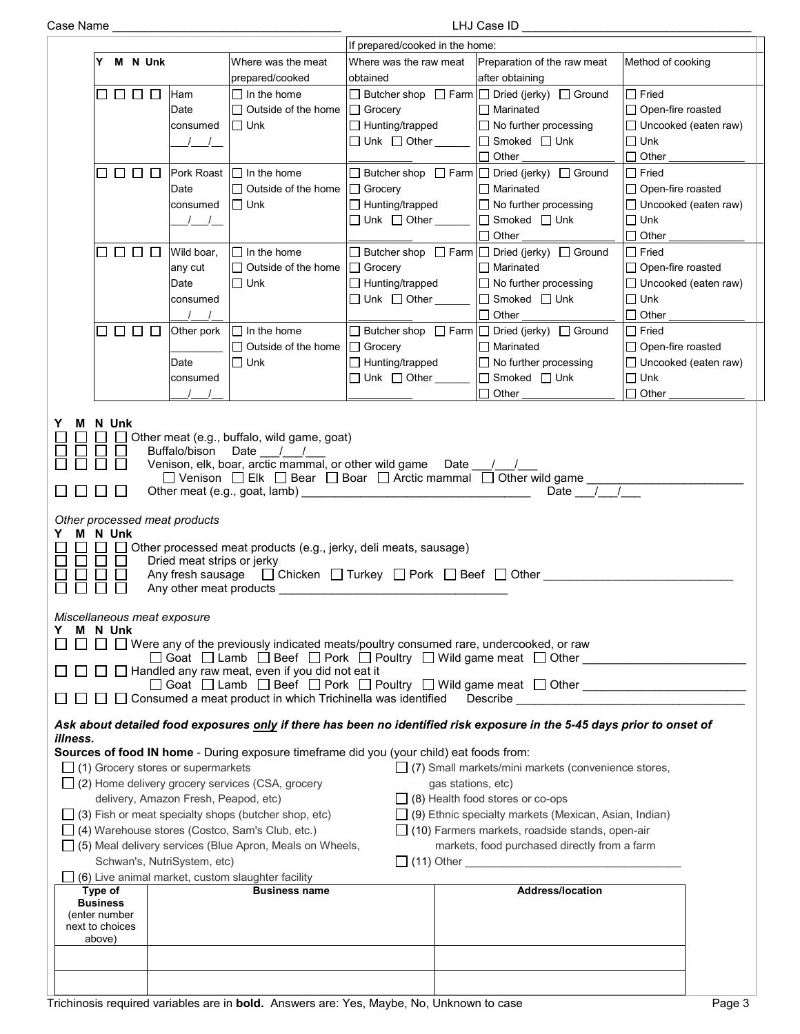| Case Name |
|-----------|
|           |

Case Name \_\_\_\_\_\_\_\_\_\_\_\_\_\_\_\_\_\_\_\_\_\_\_\_\_\_\_\_\_\_\_\_\_\_\_ LHJ Case ID \_\_\_\_\_\_\_\_\_\_\_\_\_\_\_\_\_\_\_\_\_\_\_\_\_\_\_\_\_\_\_\_\_\_\_

|                                                                                                                                                                                        |                                                                                  |                                                                                                                                                                                                                                                                        | If prepared/cooked in the home:                                                                                |                                                                                                                                                                                                                                                                                                                                                                                                                                       |                                                                                                       |
|----------------------------------------------------------------------------------------------------------------------------------------------------------------------------------------|----------------------------------------------------------------------------------|------------------------------------------------------------------------------------------------------------------------------------------------------------------------------------------------------------------------------------------------------------------------|----------------------------------------------------------------------------------------------------------------|---------------------------------------------------------------------------------------------------------------------------------------------------------------------------------------------------------------------------------------------------------------------------------------------------------------------------------------------------------------------------------------------------------------------------------------|-------------------------------------------------------------------------------------------------------|
| M N Unk<br>Y                                                                                                                                                                           |                                                                                  | Where was the meat<br>prepared/cooked                                                                                                                                                                                                                                  | Where was the raw meat<br>obtained                                                                             | Preparation of the raw meat<br>after obtaining                                                                                                                                                                                                                                                                                                                                                                                        | Method of cooking                                                                                     |
| 0000                                                                                                                                                                                   | Ham<br>Date<br>consumed<br>$\sqrt{2}$                                            | $\Box$ In the home<br>$\Box$ Outside of the home<br>$\Box$ Unk                                                                                                                                                                                                         | □ Grocery<br>$\Box$ Hunting/trapped<br>$\Box$ Unk $\Box$ Other                                                 | $\Box$ Butcher shop $\Box$ Farm $\Box$ Dried (jerky) $\Box$ Ground<br>$\Box$ Marinated<br>$\Box$ No further processing<br>$\Box$ Smoked $\Box$ Unk<br>$\Box$ Other                                                                                                                                                                                                                                                                    | $\Box$ Fried<br>$\Box$ Open-fire roasted<br>$\Box$ Uncooked (eaten raw)<br>$\Box$ Unk<br>$\Box$ Other |
| 0000                                                                                                                                                                                   | Pork Roast<br>Date<br>consumed<br>$\left  \begin{array}{cc} \end{array} \right $ | $\Box$ In the home<br>$\Box$ Outside of the home<br>$\Box$ Unk                                                                                                                                                                                                         | $\Box$ Grocery<br>$\Box$ Hunting/trapped<br>$\Box$ Unk $\Box$ Other $\_\_\_\_\_\_\$                            | $\Box$ Butcher shop $\Box$ Farm $\Box$ Dried (jerky) $\Box$ Ground<br>$\Box$ Marinated<br>$\Box$ No further processing<br>$\Box$ Smoked $\Box$ Unk<br>$\Box$ Other                                                                                                                                                                                                                                                                    | $\Box$ Fried<br>$\Box$ Open-fire roasted<br>$\Box$ Uncooked (eaten raw)<br>$\Box$ Unk<br>$\Box$ Other |
| 8888                                                                                                                                                                                   | Wild boar,<br>any cut<br>Date<br>consumed<br>$\sqrt{2}$                          | $\Box$ In the home<br>$\Box$ Outside of the home<br>$\Box$ Unk                                                                                                                                                                                                         | $\Box$ Grocery<br>$\Box$ Hunting/trapped<br>$\Box$ Unk $\Box$ Other $\_\_\_\_\_\_\$                            | $\Box$ Butcher shop $\Box$ Farm $\Box$ Dried (jerky) $\Box$ Ground<br>$\Box$ Marinated<br>$\Box$ No further processing<br>$\Box$ Smoked $\Box$ Unk<br>$\Box$ Other                                                                                                                                                                                                                                                                    | $\Box$ Fried<br>$\Box$ Open-fire roasted<br>$\Box$ Uncooked (eaten raw)<br>$\Box$ Unk<br>$\Box$ Other |
| 0000                                                                                                                                                                                   | Other pork<br>Date<br>consumed                                                   | $\Box$ In the home<br>□ Outside of the home  <br>$\Box$ Unk                                                                                                                                                                                                            | $\Box$ Grocery<br>$\Box$ Hunting/trapped<br>$\Box$ Unk $\Box$ Other $\_\_\_\_\_\_\$                            | □ Butcher shop □ Farm □ Dried (jerky) □ Ground<br>$\Box$ Marinated<br>$\Box$ No further processing<br>□ Smoked □ Unk<br>$\Box$ Other                                                                                                                                                                                                                                                                                                  | $\Box$ Fried<br>$\Box$ Open-fire roasted<br>$\Box$ Uncooked (eaten raw)<br>$\Box$ Unk<br>$\Box$ Other |
| N Unk<br>$\Box$<br>Other processed meat products<br>N Unk<br>M<br>$\mathbb{R}^n$                                                                                                       | Buffalo/bison<br>Dried meat strips or jerky<br>Any other meat products           | Other meat (e.g., buffalo, wild game, goat)<br>Date $/$ /<br>Venison, elk, boar, arctic mammal, or other wild game                                                                                                                                                     | Other processed meat products (e.g., jerky, deli meats, sausage)                                               | Date / /<br>□ Venison □ Elk □ Bear □ Boar □ Arctic mammal □ Other wild game _______<br>Date $\sqrt{1}$<br>Any fresh sausage $\Box$ Chicken $\Box$ Turkey $\Box$ Pork $\Box$ Beef $\Box$ Other                                                                                                                                                                                                                                         |                                                                                                       |
| Miscellaneous meat exposure<br>M N Unk<br>Y                                                                                                                                            |                                                                                  | $\Box$ Handled any raw meat, even if you did not eat it<br>$\Box$ Consumed a meat product in which Trichinella was identified                                                                                                                                          | $\Box$ Were any of the previously indicated meats/poultry consumed rare, undercooked, or raw                   | □ Goat □ Lamb □ Beef □ Pork □ Poultry □ Wild game meat □ Other _ _ _ _ _ _ _ _ _<br>□ Goat □ Lamb □ Beef □ Pork □ Poultry □ Wild game meat □ Other ________________<br>Describe the contract of the contract of the contract of the contract of the contract of the contract of the contract of the contract of the contract of the contract of the contract of the contract of the contract of the c                                 |                                                                                                       |
| illness.<br>$\Box$ (1) Grocery stores or supermarkets<br>□ (4) Warehouse stores (Costco, Sam's Club, etc.)<br>Type of<br><b>Business</b><br>(enter number<br>next to choices<br>above) | delivery, Amazon Fresh, Peapod, etc)<br>Schwan's, NutriSystem, etc)              | $\Box$ (2) Home delivery grocery services (CSA, grocery<br>$\Box$ (3) Fish or meat specialty shops (butcher shop, etc)<br>$\Box$ (5) Meal delivery services (Blue Apron, Meals on Wheels,<br>(6) Live animal market, custom slaughter facility<br><b>Business name</b> | Sources of food IN home - During exposure timeframe did you (your child) eat foods from:<br>gas stations, etc) | Ask about detailed food exposures only if there has been no identified risk exposure in the 5-45 days prior to onset of<br>$\Box$ (7) Small markets/mini markets (convenience stores,<br>$\Box$ (8) Health food stores or co-ops<br>$\Box$ (9) Ethnic specialty markets (Mexican, Asian, Indian)<br>$\Box$ (10) Farmers markets, roadside stands, open-air<br>markets, food purchased directly from a farm<br><b>Address/location</b> |                                                                                                       |
|                                                                                                                                                                                        |                                                                                  |                                                                                                                                                                                                                                                                        | Trichinosis required variables are in <b>bold.</b> Answers are: Yes, Maybe, No, Unknown to case                |                                                                                                                                                                                                                                                                                                                                                                                                                                       | Page 3                                                                                                |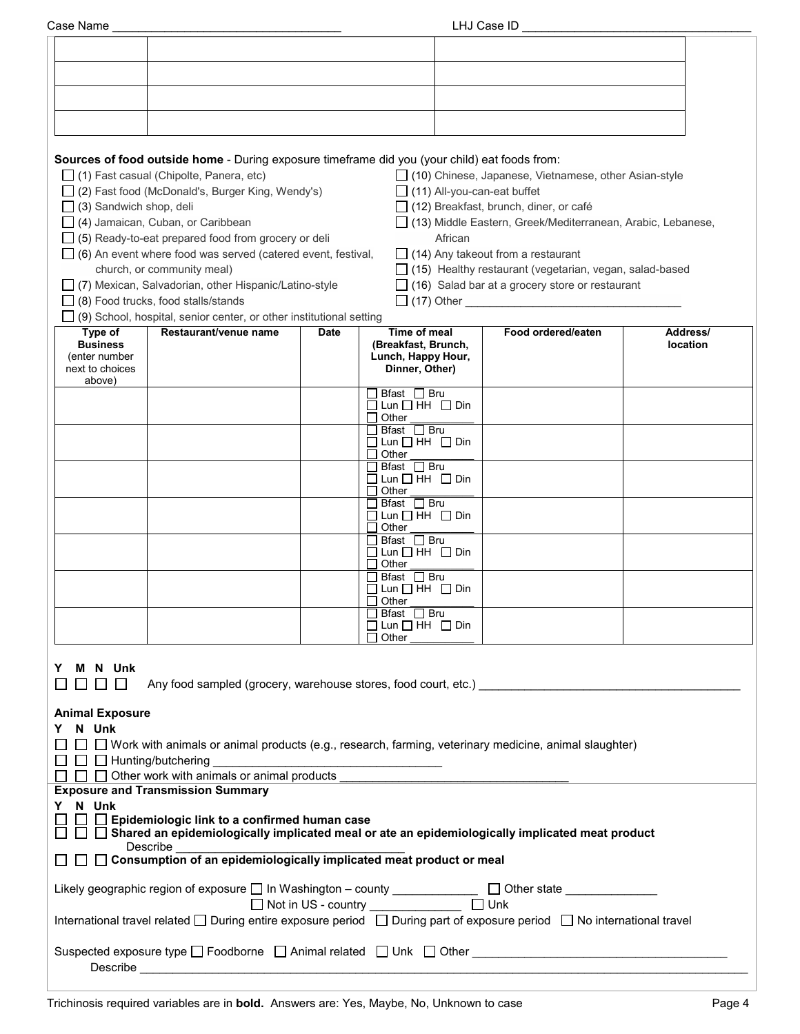| Case Name                        |                                                                                                                                                                      |             |                                                                                                                      | LHJ Case ID                                                                                                              |          |
|----------------------------------|----------------------------------------------------------------------------------------------------------------------------------------------------------------------|-------------|----------------------------------------------------------------------------------------------------------------------|--------------------------------------------------------------------------------------------------------------------------|----------|
|                                  |                                                                                                                                                                      |             |                                                                                                                      |                                                                                                                          |          |
|                                  |                                                                                                                                                                      |             |                                                                                                                      |                                                                                                                          |          |
|                                  |                                                                                                                                                                      |             |                                                                                                                      |                                                                                                                          |          |
|                                  |                                                                                                                                                                      |             |                                                                                                                      |                                                                                                                          |          |
|                                  |                                                                                                                                                                      |             |                                                                                                                      |                                                                                                                          |          |
|                                  |                                                                                                                                                                      |             |                                                                                                                      |                                                                                                                          |          |
|                                  | Sources of food outside home - During exposure timeframe did you (your child) eat foods from:                                                                        |             |                                                                                                                      |                                                                                                                          |          |
|                                  | $\Box$ (1) Fast casual (Chipolte, Panera, etc)                                                                                                                       |             |                                                                                                                      | □ (10) Chinese, Japanese, Vietnamese, other Asian-style                                                                  |          |
|                                  | □ (2) Fast food (McDonald's, Burger King, Wendy's)                                                                                                                   |             | $\Box$ (11) All-you-can-eat buffet                                                                                   |                                                                                                                          |          |
| $\Box$ (3) Sandwich shop, deli   |                                                                                                                                                                      |             |                                                                                                                      | $\Box$ (12) Breakfast, brunch, diner, or café                                                                            |          |
|                                  | $\Box$ (4) Jamaican, Cuban, or Caribbean                                                                                                                             |             |                                                                                                                      | □ (13) Middle Eastern, Greek/Mediterranean, Arabic, Lebanese,                                                            |          |
|                                  | $\Box$ (5) Ready-to-eat prepared food from grocery or deli                                                                                                           |             | African                                                                                                              |                                                                                                                          |          |
|                                  | $\Box$ (6) An event where food was served (catered event, festival,                                                                                                  |             |                                                                                                                      | $\Box$ (14) Any takeout from a restaurant                                                                                |          |
|                                  | church, or community meal)<br>□ (7) Mexican, Salvadorian, other Hispanic/Latino-style                                                                                |             |                                                                                                                      | $\Box$ (15) Healthy restaurant (vegetarian, vegan, salad-based<br>$\Box$ (16) Salad bar at a grocery store or restaurant |          |
|                                  | $\Box$ (8) Food trucks, food stalls/stands                                                                                                                           |             |                                                                                                                      | [Call (17) Other <u>Contains and Containing</u>                                                                          |          |
|                                  | $\Box$ (9) School, hospital, senior center, or other institutional setting                                                                                           |             |                                                                                                                      |                                                                                                                          |          |
| Type of                          | Restaurant/venue name                                                                                                                                                | <b>Date</b> | Time of meal                                                                                                         | Food ordered/eaten                                                                                                       | Address/ |
| <b>Business</b>                  |                                                                                                                                                                      |             | (Breakfast, Brunch,                                                                                                  |                                                                                                                          | location |
| (enter number<br>next to choices |                                                                                                                                                                      |             | Lunch, Happy Hour,<br>Dinner, Other)                                                                                 |                                                                                                                          |          |
| above)                           |                                                                                                                                                                      |             |                                                                                                                      |                                                                                                                          |          |
|                                  |                                                                                                                                                                      |             | $\Box$ Bfast $\Box$ Bru<br>$\square$ Lun $\square$ HH $\square$ Din                                                  |                                                                                                                          |          |
|                                  |                                                                                                                                                                      |             | $\Box$ Other                                                                                                         |                                                                                                                          |          |
|                                  |                                                                                                                                                                      |             | $\Box$ Bfast $\Box$ Bru<br>$\Box$ Lun $\Box$ HH $\Box$ Din                                                           |                                                                                                                          |          |
|                                  |                                                                                                                                                                      |             | $\Box$ Other                                                                                                         |                                                                                                                          |          |
|                                  |                                                                                                                                                                      |             | $\Box$ Bfast $\Box$ Bru<br>$\Box$ Lun $\Box$ HH $\Box$ Din                                                           |                                                                                                                          |          |
|                                  |                                                                                                                                                                      |             | $\Box$ Other                                                                                                         |                                                                                                                          |          |
|                                  |                                                                                                                                                                      |             | コ Bfast ロ Bru<br>$\Box$ Lun $\Box$ HH $\Box$ Din                                                                     |                                                                                                                          |          |
|                                  |                                                                                                                                                                      |             | $\Box$ Other                                                                                                         |                                                                                                                          |          |
|                                  |                                                                                                                                                                      |             | $\Box$ Bfast $\Box$ Bru                                                                                              |                                                                                                                          |          |
|                                  |                                                                                                                                                                      |             | $\Box$ Lun $\Box$ HH $\Box$ Din<br>$\Box$ Other                                                                      |                                                                                                                          |          |
|                                  |                                                                                                                                                                      |             | $\Box$ Bfast $\Box$ Bru                                                                                              |                                                                                                                          |          |
|                                  |                                                                                                                                                                      |             | $\Box$ Lun $\Box$ HH $\Box$ Din<br>$\Box$ Other                                                                      |                                                                                                                          |          |
|                                  |                                                                                                                                                                      |             | Bfast □ Bru                                                                                                          |                                                                                                                          |          |
|                                  |                                                                                                                                                                      |             | $\Box$ Lun $\Box$ HH $\Box$ Din<br>Other                                                                             |                                                                                                                          |          |
|                                  |                                                                                                                                                                      |             |                                                                                                                      |                                                                                                                          |          |
| M N Unk                          |                                                                                                                                                                      |             |                                                                                                                      |                                                                                                                          |          |
| $\mathbf{1}$                     | Any food sampled (grocery, warehouse stores, food court, etc.)                                                                                                       |             |                                                                                                                      |                                                                                                                          |          |
|                                  |                                                                                                                                                                      |             |                                                                                                                      |                                                                                                                          |          |
| <b>Animal Exposure</b>           |                                                                                                                                                                      |             |                                                                                                                      |                                                                                                                          |          |
| Y N Unk                          | $\Box$ $\Box$ Work with animals or animal products (e.g., research, farming, veterinary medicine, animal slaughter)                                                  |             |                                                                                                                      |                                                                                                                          |          |
| $\Box$ $\Box$ Hunting/butchering |                                                                                                                                                                      |             | <u> 1980 - Johann Barbara, martin amerikan basar dan berasal dalam basa dalam basar dalam basar dalam basar dala</u> |                                                                                                                          |          |
|                                  | $\Box$ $\Box$ Other work with animals or animal products                                                                                                             |             |                                                                                                                      |                                                                                                                          |          |
|                                  | <b>Exposure and Transmission Summary</b>                                                                                                                             |             |                                                                                                                      |                                                                                                                          |          |
| Y N Unk                          |                                                                                                                                                                      |             |                                                                                                                      |                                                                                                                          |          |
|                                  | $\Box$ Epidemiologic link to a confirmed human case<br>$\Box$ $\Box$ Shared an epidemiologically implicated meal or ate an epidemiologically implicated meat product |             |                                                                                                                      |                                                                                                                          |          |
|                                  | Describe                                                                                                                                                             |             |                                                                                                                      |                                                                                                                          |          |
|                                  | □ Consumption of an epidemiologically implicated meat product or meal                                                                                                |             |                                                                                                                      |                                                                                                                          |          |
|                                  | Likely geographic region of exposure □ In Washington - county _____________ □ Other state __________                                                                 |             |                                                                                                                      |                                                                                                                          |          |
|                                  | International travel related □ During entire exposure period □ During part of exposure period □ No international travel                                              |             |                                                                                                                      |                                                                                                                          |          |
|                                  | Suspected exposure type □ Foodborne □ Animal related □ Unk □ Other ________________________________                                                                  |             |                                                                                                                      |                                                                                                                          |          |
|                                  |                                                                                                                                                                      |             |                                                                                                                      |                                                                                                                          |          |
|                                  |                                                                                                                                                                      |             |                                                                                                                      |                                                                                                                          |          |